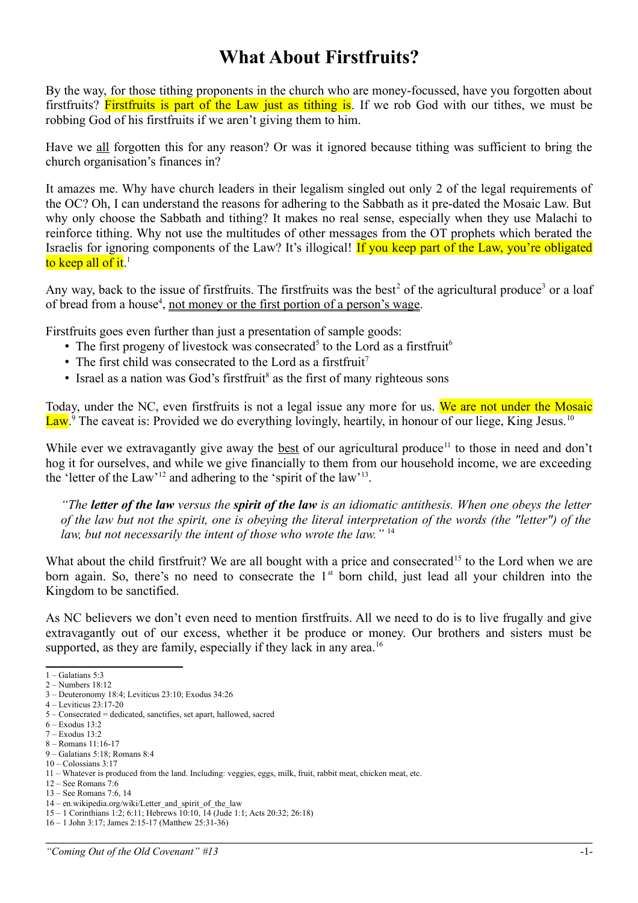## **What About Firstfruits?**

By the way, for those tithing proponents in the church who are money-focussed, have you forgotten about firstfruits? Firstfruits is part of the Law just as tithing is. If we rob God with our tithes, we must be robbing God of his firstfruits if we aren't giving them to him.

Have we all forgotten this for any reason? Or was it ignored because tithing was sufficient to bring the church organisation's finances in?

It amazes me. Why have church leaders in their legalism singled out only 2 of the legal requirements of the OC? Oh, I can understand the reasons for adhering to the Sabbath as it pre-dated the Mosaic Law. But why only choose the Sabbath and tithing? It makes no real sense, especially when they use Malachi to reinforce tithing. Why not use the multitudes of other messages from the OT prophets which berated the Israelis for ignoring components of the Law? It's illogical! If you keep part of the Law, you're obligated to keep all of it.<sup>[1](#page-0-0)</sup>

Any way, back to the issue of first fruits. The first fruits was the best<sup>[2](#page-0-1)</sup> of the agricultural produce<sup>[3](#page-0-2)</sup> or a loaf of bread from a house<sup>[4](#page-0-3)</sup>, <u>not money or the first portion of a person's wage</u>.

Firstfruits goes even further than just a presentation of sample goods:

- The first progeny of livestock was consecrated<sup>[5](#page-0-4)</sup> to the Lord as a firstfruit<sup>[6](#page-0-5)</sup>
- The first child was consecrated to the Lord as a first fruit<sup>[7](#page-0-6)</sup>
- Israel as a nation was God's firstfruit<sup>[8](#page-0-7)</sup> as the first of many righteous sons

Today, under the NC, even firstfruits is not a legal issue any more for us. We are not under the Mosaic Law.<sup>[9](#page-0-8)</sup> The caveat is: Provided we do everything lovingly, heartily, in honour of our liege, King Jesus.<sup>[10](#page-0-9)</sup>

While ever we extravagantly give away the best of our agricultural produce<sup>[11](#page-0-10)</sup> to those in need and don't hog it for ourselves, and while we give financially to them from our household income, we are exceeding the 'letter of the Law'<sup>[12](#page-0-11)</sup> and adhering to the 'spirit of the law'<sup>[13](#page-0-12)</sup>.

*"The letter of the law versus the spirit of the law is an idiomatic antithesis. When one obeys the letter of the law but not the spirit, one is obeying the literal interpretation of the words (the "letter") of the law, but not necessarily the intent of those who wrote the law."* [14](#page-0-13)

What about the child firstfruit? We are all bought with a price and consecrated<sup>[15](#page-0-14)</sup> to the Lord when we are born again. So, there's no need to consecrate the  $1<sup>st</sup>$  born child, just lead all your children into the Kingdom to be sanctified.

As NC believers we don't even need to mention firstfruits. All we need to do is to live frugally and give extravagantly out of our excess, whether it be produce or money. Our brothers and sisters must be supported, as they are family, especially if they lack in any area.<sup>[16](#page-0-15)</sup>

<span id="page-0-0"></span><sup>1 –</sup> Galatians 5:3

<span id="page-0-1"></span> $2 -$ Numbers 18:12

<span id="page-0-2"></span><sup>3 –</sup> Deuteronomy 18:4; Leviticus 23:10; Exodus 34:26 4 – Leviticus 23:17-20

<span id="page-0-4"></span><span id="page-0-3"></span><sup>5 –</sup> Consecrated = dedicated, sanctifies, set apart, hallowed, sacred

<span id="page-0-5"></span> $6 -$  Exodus 13:2

<span id="page-0-6"></span><sup>7 –</sup> Exodus 13:2

<span id="page-0-7"></span><sup>8 –</sup> Romans 11:16-17

<span id="page-0-8"></span><sup>9 –</sup> Galatians 5:18; Romans 8:4

<span id="page-0-9"></span> $10 - \text{Colossians } 3.17$ 

<span id="page-0-10"></span><sup>11 –</sup> Whatever is produced from the land. Including: veggies, eggs, milk, fruit, rabbit meat, chicken meat, etc.

<span id="page-0-11"></span><sup>12 –</sup> See Romans 7:6

<span id="page-0-12"></span><sup>13 –</sup> See Romans 7:6, 14

<span id="page-0-13"></span><sup>14 –</sup> en.wikipedia.org/wiki/Letter\_and\_spirit\_of\_the\_law

<span id="page-0-14"></span><sup>15 – 1</sup> Corinthians 1:2; 6:11; Hebrews 10:10, 14 (Jude 1:1; Acts 20:32; 26:18)

<span id="page-0-15"></span><sup>16 – 1</sup> John 3:17; James 2:15-17 (Matthew 25:31-36)